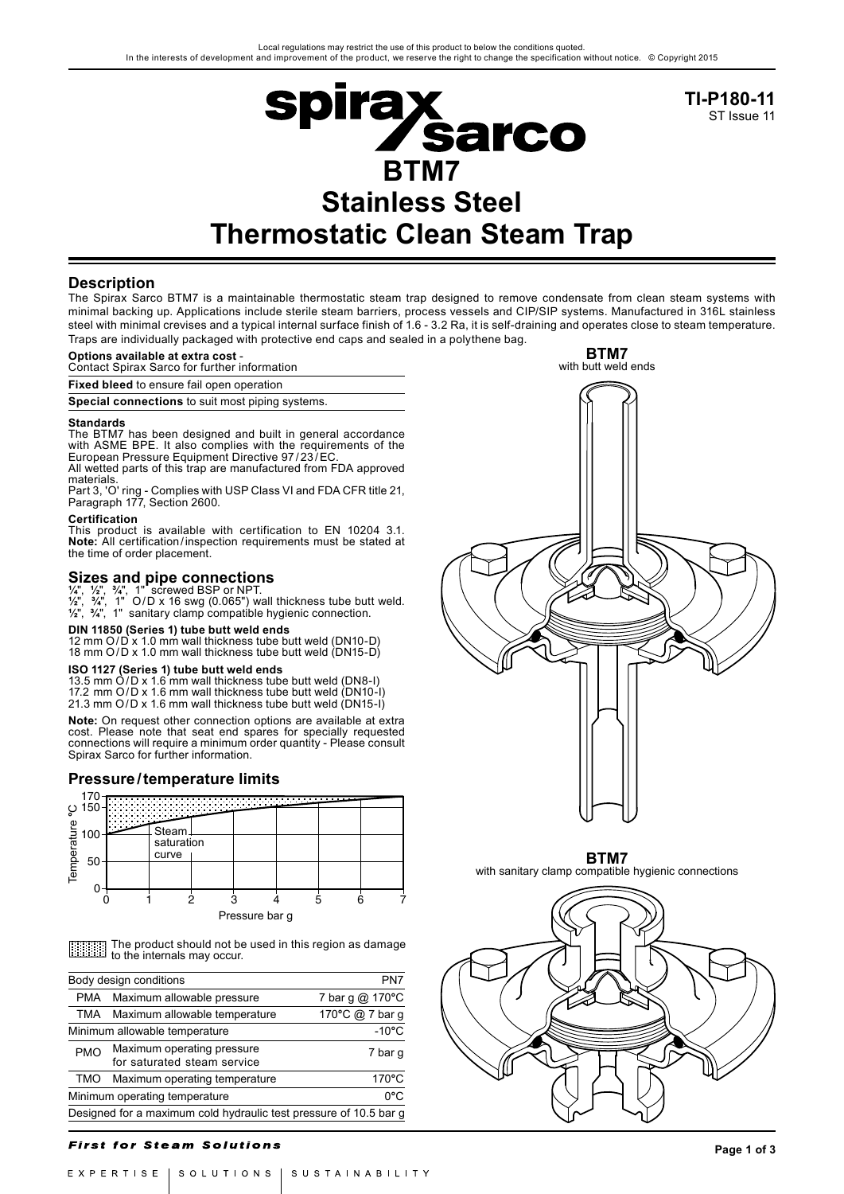

**TI-P180-11** ST Issue 11

# **Description**

The Spirax Sarco BTM7 is a maintainable thermostatic steam trap designed to remove condensate from clean steam systems with minimal backing up. Applications include sterile steam barriers, process vessels and CIP/SIP systems. Manufactured in 316L stainless steel with minimal crevises and a typical internal surface finish of 1.6 - 3.2 Ra, it is self-draining and operates close to steam temperature. Traps are individually packaged with protective end caps and sealed in a polythene bag.

# **Options available at extra cost** -

Contact Spirax Sarco for further information

**Fixed bleed** to ensure fail open operation

**Special connections** to suit most piping systems.

**Standards** The BTM7 has been designed and built in general accordance with ASME BPE. It also complies with the requirements of the European Pressure Equipment Directive 97/23/EC All wetted parts of this trap are manufactured from FDA approved

materials. Part 3, 'O' ring - Complies with USP Class VI and FDA CFR title 21,

#### Paragraph 177, Section 2600. **Certification**

This product is available with certification to EN 10204 3.1. **Note:** All certification/inspection requirements must be stated at the time of order placement.

# **Sizes and pipe connections ¼**", **½**", **¾**", 1" screwed BSP or NPT.

**½**", **¾**", 1" O/D x 16 swg (0.065") wall thickness tube butt weld. **½**", **¾**", 1" sanitary clamp compatible hygienic connection.

# **DIN 11850 (Series 1) tube butt weld ends**

12 mm O/D x 1.0 mm wall thickness tube butt weld (DN10-D) 18 mm O/D x 1.0 mm wall thickness tube butt weld (DN15-D)

**ISO 1127 (Series 1) tube butt weld ends** 13.5 mm O/D x 1.6 mm wall thickness tube butt weld (DN8-I) 17.2 mm O/D x 1.6 mm wall thickness tube butt weld (DN10-I) 21.3 mm O/D x 1.6 mm wall thickness tube butt weld (DN15-I)

**Note:** On request other connection options are available at extra cost. Please note that seat end spares for specially requested connections will require a minimum order quantity - Please consult Spirax Sarco for further information.

### **Pressure/temperature limits**



|                                                                   | 150                                                                                    |            |                             |                            | .                             |  |                 |         |
|-------------------------------------------------------------------|----------------------------------------------------------------------------------------|------------|-----------------------------|----------------------------|-------------------------------|--|-----------------|---------|
| Temperature                                                       | 100                                                                                    |            | Steam                       |                            |                               |  |                 |         |
|                                                                   |                                                                                        | saturation |                             |                            |                               |  |                 |         |
|                                                                   | 50                                                                                     |            | curve                       |                            |                               |  |                 |         |
|                                                                   |                                                                                        |            |                             |                            |                               |  |                 |         |
|                                                                   |                                                                                        |            |                             | 2                          | 3                             |  | 5<br>6          |         |
|                                                                   |                                                                                        |            |                             |                            | Pressure bar g                |  |                 |         |
|                                                                   |                                                                                        |            |                             |                            |                               |  |                 |         |
|                                                                   | The product should not be used in this region as damage<br>to the internals may occur. |            |                             |                            |                               |  |                 |         |
| PN7<br>Body design conditions                                     |                                                                                        |            |                             |                            |                               |  |                 |         |
| PMA.<br>Maximum allowable pressure<br>7 bar g $@$                 |                                                                                        |            |                             |                            |                               |  | $170^{\circ}$ C |         |
|                                                                   | 170°C @ 7 bar q<br>TMA<br>Maximum allowable temperature                                |            |                             |                            |                               |  |                 |         |
| $-10^{\circ}$ C<br>Minimum allowable temperature                  |                                                                                        |            |                             |                            |                               |  |                 |         |
|                                                                   | <b>PMO</b>                                                                             |            |                             | Maximum operating pressure |                               |  |                 | 7 bar g |
|                                                                   |                                                                                        |            | for saturated steam service |                            |                               |  |                 |         |
|                                                                   | TMO                                                                                    |            |                             |                            | Maximum operating temperature |  |                 | 170°C   |
| 0°C<br>Minimum operating temperature                              |                                                                                        |            |                             |                            |                               |  |                 |         |
| Designed for a maximum cold hydraulic test pressure of 10.5 bar g |                                                                                        |            |                             |                            |                               |  |                 |         |
|                                                                   |                                                                                        |            |                             |                            |                               |  |                 |         |

### **First for Steam Solutions**

**BTM7** with butt weld ends

with sanitary clamp compatible hygienic connections

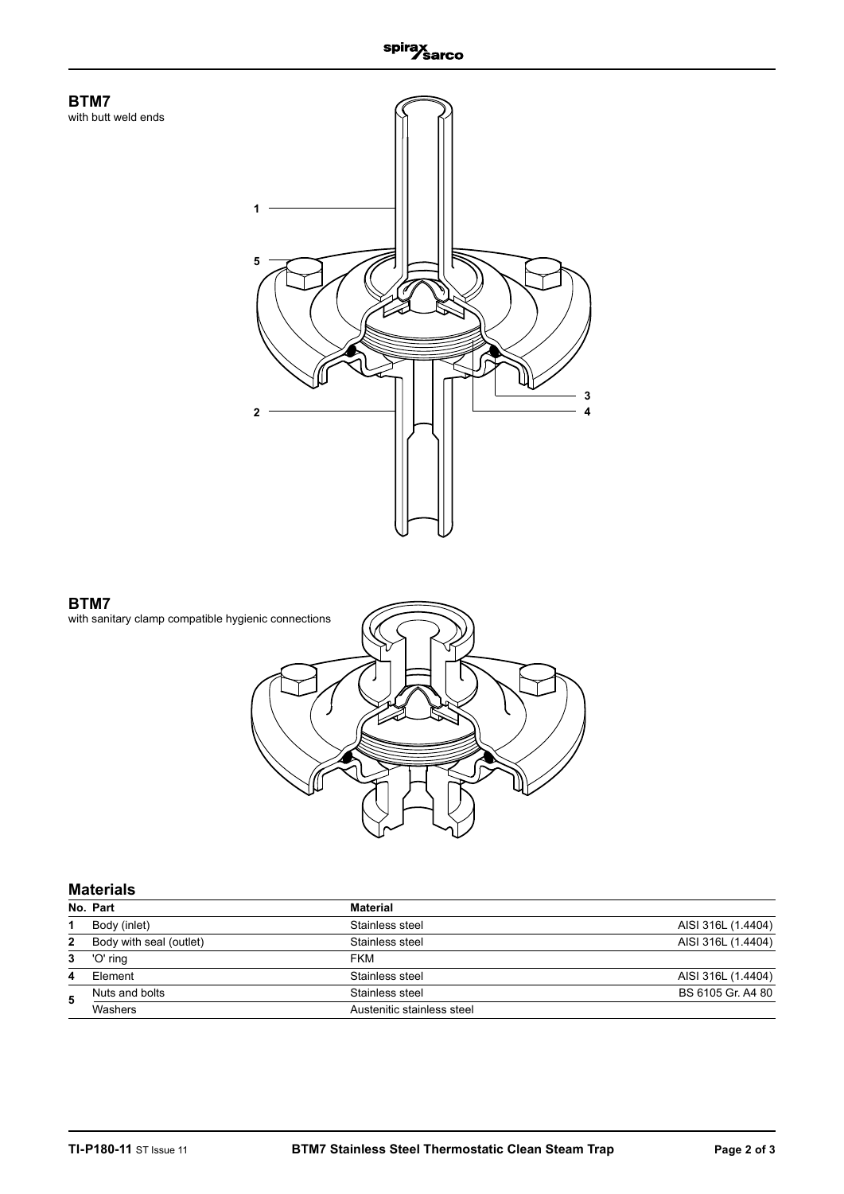



# **Materials**

|   | No. Part                | <b>Material</b>            |                    |
|---|-------------------------|----------------------------|--------------------|
|   | Body (inlet)            | Stainless steel            | AISI 316L (1.4404) |
| 2 | Body with seal (outlet) | Stainless steel            | AISI 316L (1.4404) |
| 3 | 'O' ring                | <b>FKM</b>                 |                    |
| 4 | Flement                 | Stainless steel            | AISI 316L (1.4404) |
| 5 | Nuts and bolts          | Stainless steel            | BS 6105 Gr. A4 80  |
|   | Washers                 | Austenitic stainless steel |                    |